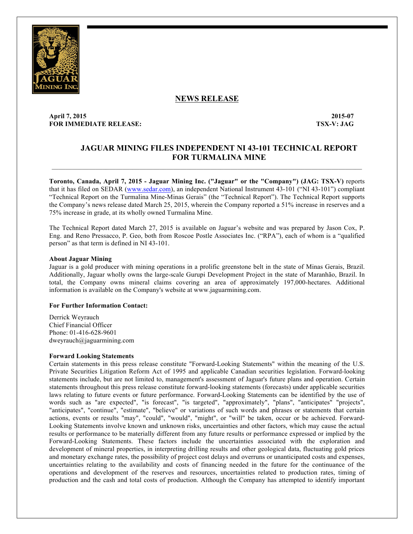

## **NEWS RELEASE**

### **April 7, 2015 2015-07 FOR IMMEDIATE RELEASE: TSX-V: JAG**

# **JAGUAR MINING FILES INDEPENDENT NI 43-101 TECHNICAL REPORT FOR TURMALINA MINE**

**Toronto, Canada, April 7, 2015 - Jaguar Mining Inc. ("Jaguar" or the "Company") (JAG: TSX-V)** reports that it has filed on SEDAR (www.sedar.com), an independent National Instrument 43-101 ("NI 43-101") compliant "Technical Report on the Turmalina Mine-Minas Gerais" (the "Technical Report"). The Technical Report supports the Company's news release dated March 25, 2015, wherein the Company reported a 51% increase in reserves and a 75% increase in grade, at its wholly owned Turmalina Mine.

 $\mathcal{L}_\mathcal{L} = \{ \mathcal{L}_\mathcal{L} = \{ \mathcal{L}_\mathcal{L} = \{ \mathcal{L}_\mathcal{L} = \{ \mathcal{L}_\mathcal{L} = \{ \mathcal{L}_\mathcal{L} = \{ \mathcal{L}_\mathcal{L} = \{ \mathcal{L}_\mathcal{L} = \{ \mathcal{L}_\mathcal{L} = \{ \mathcal{L}_\mathcal{L} = \{ \mathcal{L}_\mathcal{L} = \{ \mathcal{L}_\mathcal{L} = \{ \mathcal{L}_\mathcal{L} = \{ \mathcal{L}_\mathcal{L} = \{ \mathcal{L}_\mathcal{$ 

The Technical Report dated March 27, 2015 is available on Jaguar's website and was prepared by Jason Cox, P. Eng. and Reno Pressacco, P. Geo, both from Roscoe Postle Associates Inc. ("RPA"), each of whom is a "qualified person" as that term is defined in NI 43-101.

### **About Jaguar Mining**

Jaguar is a gold producer with mining operations in a prolific greenstone belt in the state of Minas Gerais, Brazil. Additionally, Jaguar wholly owns the large-scale Gurupi Development Project in the state of Maranhão, Brazil. In total, the Company owns mineral claims covering an area of approximately 197,000-hectares. Additional information is available on the Company's website at www.jaguarmining.com.

### **For Further Information Contact:**

Derrick Weyrauch Chief Financial Officer Phone: 01-416-628-9601 dweyrauch@jaguarmining.com

#### **Forward Looking Statements**

Certain statements in this press release constitute "Forward-Looking Statements" within the meaning of the U.S. Private Securities Litigation Reform Act of 1995 and applicable Canadian securities legislation. Forward-looking statements include, but are not limited to, management's assessment of Jaguar's future plans and operation. Certain statements throughout this press release constitute forward-looking statements (forecasts) under applicable securities laws relating to future events or future performance. Forward-Looking Statements can be identified by the use of words such as "are expected", "is forecast", "is targeted", "approximately", "plans", "anticipates" "projects", "anticipates", "continue", "estimate", "believe" or variations of such words and phrases or statements that certain actions, events or results "may", "could", "would", "might", or "will" be taken, occur or be achieved. Forward-Looking Statements involve known and unknown risks, uncertainties and other factors, which may cause the actual results or performance to be materially different from any future results or performance expressed or implied by the Forward-Looking Statements. These factors include the uncertainties associated with the exploration and development of mineral properties, in interpreting drilling results and other geological data, fluctuating gold prices and monetary exchange rates, the possibility of project cost delays and overruns or unanticipated costs and expenses, uncertainties relating to the availability and costs of financing needed in the future for the continuance of the operations and development of the reserves and resources, uncertainties related to production rates, timing of production and the cash and total costs of production. Although the Company has attempted to identify important